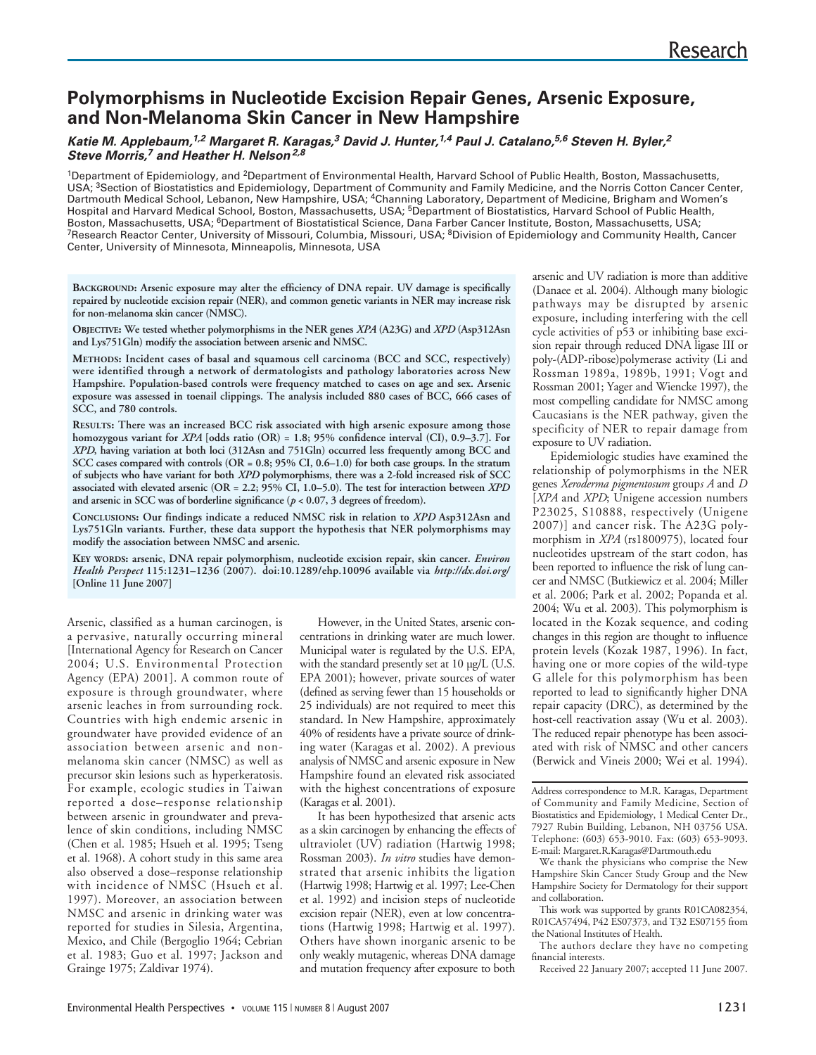# **Polymorphisms in Nucleotide Excision Repair Genes, Arsenic Exposure, and Non-Melanoma Skin Cancer in New Hampshire**

### **Katie M. Applebaum,1,2 Margaret R. Karagas,<sup>3</sup> David J. Hunter,1,4 Paul J. Catalano,5,6 Steven H. Byler,<sup>2</sup> Steve Morris,<sup>7</sup> and Heather H. Nelson2,8**

1Department of Epidemiology, and 2Department of Environmental Health, Harvard School of Public Health, Boston, Massachusetts, USA; <sup>3</sup>Section of Biostatistics and Epidemiology, Department of Community and Family Medicine, and the Norris Cotton Cancer Center, Dartmouth Medical School, Lebanon, New Hampshire, USA; <sup>4</sup>Channing Laboratory, Department of Medicine, Brigham and Women's Hospital and Harvard Medical School, Boston, Massachusetts, USA; 5Department of Biostatistics, Harvard School of Public Health, Boston, Massachusetts, USA; 6Department of Biostatistical Science, Dana Farber Cancer Institute, Boston, Massachusetts, USA; <sup>7</sup>Research Reactor Center, University of Missouri, Columbia, Missouri, USA; <sup>8</sup>Division of Epidemiology and Community Health, Cancer Center, University of Minnesota, Minneapolis, Minnesota, USA

**BACKGROUND: Arsenic exposure may alter the efficiency of DNA repair. UV damage is specifically repaired by nucleotide excision repair (NER), and common genetic variants in NER may increase risk for non-melanoma skin cancer (NMSC).** 

**OBJECTIVE: We tested whether polymorphisms in the NER genes** *XPA* **(A23G) and** *XPD* **(Asp312Asn and Lys751Gln) modify the association between arsenic and NMSC.** 

**METHODS: Incident cases of basal and squamous cell carcinoma (BCC and SCC, respectively) were identified through a network of dermatologists and pathology laboratories across New Hampshire. Population-based controls were frequency matched to cases on age and sex. Arsenic exposure was assessed in toenail clippings. The analysis included 880 cases of BCC, 666 cases of SCC, and 780 controls.**

**RESULTS: There was an increased BCC risk associated with high arsenic exposure among those homozygous variant for** *XPA* **[odds ratio (OR) = 1.8; 95% confidence interval (CI), 0.9–3.7]. For** *XPD***, having variation at both loci (312Asn and 751Gln) occurred less frequently among BCC and SCC cases compared with controls (OR = 0.8; 95% CI, 0.6–1.0) for both case groups. In the stratum of subjects who have variant for both** *XPD* **polymorphisms, there was a 2-fold increased risk of SCC associated with elevated arsenic (OR = 2.2; 95% CI, 1.0–5.0). The test for interaction between** *XPD* **and arsenic in SCC was of borderline significance (***p* **< 0.07, 3 degrees of freedom).** 

**CONCLUSIONS: Our findings indicate a reduced NMSC risk in relation to** *XPD* **Asp312Asn and Lys751Gln variants. Further, these data support the hypothesis that NER polymorphisms may modify the association between NMSC and arsenic.** 

**KEY WORDS: arsenic, DNA repair polymorphism, nucleotide excision repair, skin cancer.** *Environ Health Perspect* **115:1231–1236 (2007). doi:10.1289/ehp.10096 available via** *http://dx.doi.org/* **[Online 11 June 2007]**

Arsenic, classified as a human carcinogen, is a pervasive, naturally occurring mineral [International Agency for Research on Cancer 2004; U.S. Environmental Protection Agency (EPA) 2001]. A common route of exposure is through groundwater, where arsenic leaches in from surrounding rock. Countries with high endemic arsenic in groundwater have provided evidence of an association between arsenic and nonmelanoma skin cancer (NMSC) as well as precursor skin lesions such as hyperkeratosis. For example, ecologic studies in Taiwan reported a dose–response relationship between arsenic in groundwater and prevalence of skin conditions, including NMSC (Chen et al. 1985; Hsueh et al. 1995; Tseng et al. 1968). A cohort study in this same area also observed a dose–response relationship with incidence of NMSC (Hsueh et al. 1997). Moreover, an association between NMSC and arsenic in drinking water was reported for studies in Silesia, Argentina, Mexico, and Chile (Bergoglio 1964; Cebrian et al. 1983; Guo et al. 1997; Jackson and Grainge 1975; Zaldivar 1974).

However, in the United States, arsenic concentrations in drinking water are much lower. Municipal water is regulated by the U.S. EPA, with the standard presently set at 10 µg/L (U.S. EPA 2001); however, private sources of water (defined as serving fewer than 15 households or 25 individuals) are not required to meet this standard. In New Hampshire, approximately 40% of residents have a private source of drinking water (Karagas et al. 2002). A previous analysis of NMSC and arsenic exposure in New Hampshire found an elevated risk associated with the highest concentrations of exposure (Karagas et al. 2001).

It has been hypothesized that arsenic acts as a skin carcinogen by enhancing the effects of ultraviolet (UV) radiation (Hartwig 1998; Rossman 2003). *In vitro* studies have demonstrated that arsenic inhibits the ligation (Hartwig 1998; Hartwig et al. 1997; Lee-Chen et al. 1992) and incision steps of nucleotide excision repair (NER), even at low concentrations (Hartwig 1998; Hartwig et al. 1997). Others have shown inorganic arsenic to be only weakly mutagenic, whereas DNA damage and mutation frequency after exposure to both

arsenic and UV radiation is more than additive (Danaee et al. 2004). Although many biologic pathways may be disrupted by arsenic exposure, including interfering with the cell cycle activities of p53 or inhibiting base excision repair through reduced DNA ligase III or poly-(ADP-ribose)polymerase activity (Li and Rossman 1989a, 1989b, 1991; Vogt and Rossman 2001; Yager and Wiencke 1997), the most compelling candidate for NMSC among Caucasians is the NER pathway, given the specificity of NER to repair damage from exposure to UV radiation.

Epidemiologic studies have examined the relationship of polymorphisms in the NER genes *Xeroderma pigmentosum* group*s A* and *D* [*XPA* and *XPD*; Unigene accession numbers P23025, S10888, respectively (Unigene 2007)] and cancer risk. The A23G polymorphism in *XPA* (rs1800975), located four nucleotides upstream of the start codon, has been reported to influence the risk of lung cancer and NMSC (Butkiewicz et al. 2004; Miller et al. 2006; Park et al. 2002; Popanda et al. 2004; Wu et al. 2003). This polymorphism is located in the Kozak sequence, and coding changes in this region are thought to influence protein levels (Kozak 1987, 1996). In fact, having one or more copies of the wild-type G allele for this polymorphism has been reported to lead to significantly higher DNA repair capacity (DRC), as determined by the host-cell reactivation assay (Wu et al. 2003). The reduced repair phenotype has been associated with risk of NMSC and other cancers (Berwick and Vineis 2000; Wei et al. 1994).

Address correspondence to M.R. Karagas, Department of Community and Family Medicine, Section of Biostatistics and Epidemiology, 1 Medical Center Dr., 7927 Rubin Building, Lebanon, NH 03756 USA. Telephone: (603) 653-9010. Fax: (603) 653-9093. E-mail: Margaret.R.Karagas@Dartmouth.edu

We thank the physicians who comprise the New Hampshire Skin Cancer Study Group and the New Hampshire Society for Dermatology for their support and collaboration.

This work was supported by grants R01CA082354, R01CA57494, P42 ES07373, and T32 ES07155 from the National Institutes of Health.

The authors declare they have no competing financial interests.

Received 22 January 2007; accepted 11 June 2007.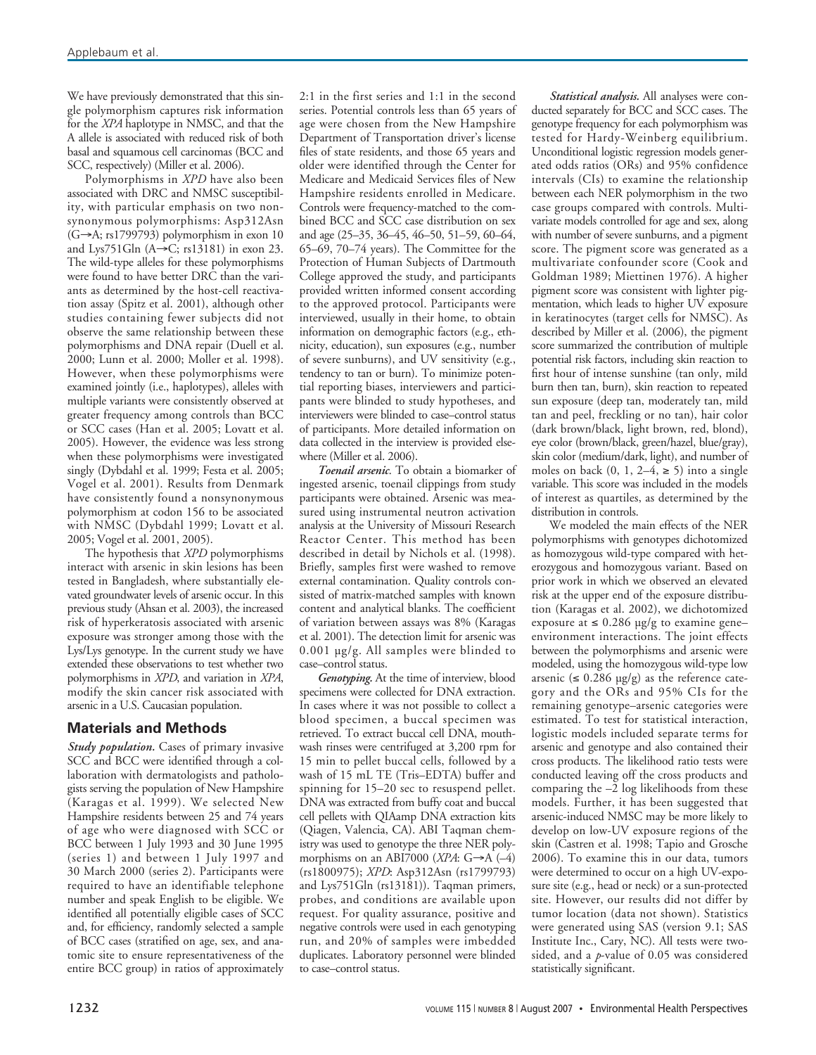We have previously demonstrated that this single polymorphism captures risk information for the *XPA* haplotype in NMSC, and that the A allele is associated with reduced risk of both basal and squamous cell carcinomas (BCC and SCC, respectively) (Miller et al. 2006).

Polymorphisms in *XPD* have also been associated with DRC and NMSC susceptibility, with particular emphasis on two nonsynonymous polymorphisms: Asp312Asn (G→A; rs1799793) polymorphism in exon 10 and Lys751Gln (A→C; rs13181) in exon 23. The wild-type alleles for these polymorphisms were found to have better DRC than the variants as determined by the host-cell reactivation assay (Spitz et al. 2001), although other studies containing fewer subjects did not observe the same relationship between these polymorphisms and DNA repair (Duell et al. 2000; Lunn et al. 2000; Moller et al. 1998). However, when these polymorphisms were examined jointly (i.e., haplotypes), alleles with multiple variants were consistently observed at greater frequency among controls than BCC or SCC cases (Han et al. 2005; Lovatt et al. 2005). However, the evidence was less strong when these polymorphisms were investigated singly (Dybdahl et al. 1999; Festa et al. 2005; Vogel et al. 2001). Results from Denmark have consistently found a nonsynonymous polymorphism at codon 156 to be associated with NMSC (Dybdahl 1999; Lovatt et al. 2005; Vogel et al. 2001, 2005).

The hypothesis that *XPD* polymorphisms interact with arsenic in skin lesions has been tested in Bangladesh, where substantially elevated groundwater levels of arsenic occur. In this previous study (Ahsan et al. 2003), the increased risk of hyperkeratosis associated with arsenic exposure was stronger among those with the Lys/Lys genotype. In the current study we have extended these observations to test whether two polymorphisms in *XPD*, and variation in *XPA*, modify the skin cancer risk associated with arsenic in a U.S. Caucasian population.

# **Materials and Methods**

*Study population.* Cases of primary invasive SCC and BCC were identified through a collaboration with dermatologists and pathologists serving the population of New Hampshire (Karagas et al. 1999). We selected New Hampshire residents between 25 and 74 years of age who were diagnosed with SCC or BCC between 1 July 1993 and 30 June 1995 (series 1) and between 1 July 1997 and 30 March 2000 (series 2). Participants were required to have an identifiable telephone number and speak English to be eligible. We identified all potentially eligible cases of SCC and, for efficiency, randomly selected a sample of BCC cases (stratified on age, sex, and anatomic site to ensure representativeness of the entire BCC group) in ratios of approximately

2:1 in the first series and 1:1 in the second series. Potential controls less than 65 years of age were chosen from the New Hampshire Department of Transportation driver's license files of state residents, and those 65 years and older were identified through the Center for Medicare and Medicaid Services files of New Hampshire residents enrolled in Medicare. Controls were frequency-matched to the combined BCC and SCC case distribution on sex and age (25–35, 36–45, 46–50, 51–59, 60–64, 65–69, 70–74 years). The Committee for the Protection of Human Subjects of Dartmouth College approved the study, and participants provided written informed consent according to the approved protocol. Participants were interviewed, usually in their home, to obtain information on demographic factors (e.g., ethnicity, education), sun exposures (e.g., number of severe sunburns), and UV sensitivity (e.g., tendency to tan or burn). To minimize potential reporting biases, interviewers and participants were blinded to study hypotheses, and interviewers were blinded to case–control status of participants. More detailed information on data collected in the interview is provided elsewhere (Miller et al. 2006).

*Toenail arsenic*. To obtain a biomarker of ingested arsenic, toenail clippings from study participants were obtained. Arsenic was measured using instrumental neutron activation analysis at the University of Missouri Research Reactor Center. This method has been described in detail by Nichols et al. (1998). Briefly, samples first were washed to remove external contamination. Quality controls consisted of matrix-matched samples with known content and analytical blanks. The coefficient of variation between assays was 8% (Karagas et al. 2001). The detection limit for arsenic was 0.001 µg/g. All samples were blinded to case–control status.

*Genotyping.* At the time of interview, blood specimens were collected for DNA extraction. In cases where it was not possible to collect a blood specimen, a buccal specimen was retrieved. To extract buccal cell DNA, mouthwash rinses were centrifuged at 3,200 rpm for 15 min to pellet buccal cells, followed by a wash of 15 mL TE (Tris–EDTA) buffer and spinning for 15–20 sec to resuspend pellet. DNA was extracted from buffy coat and buccal cell pellets with QIAamp DNA extraction kits (Qiagen, Valencia, CA). ABI Taqman chemistry was used to genotype the three NER polymorphisms on an ABI7000 (*XPA*: G→A (–4) (rs1800975); *XPD*: Asp312Asn (rs1799793) and Lys751Gln (rs13181)). Taqman primers, probes, and conditions are available upon request. For quality assurance, positive and negative controls were used in each genotyping run, and 20% of samples were imbedded duplicates. Laboratory personnel were blinded to case–control status.

*Statistical analysis.* All analyses were conducted separately for BCC and SCC cases. The genotype frequency for each polymorphism was tested for Hardy-Weinberg equilibrium. Unconditional logistic regression models generated odds ratios (ORs) and 95% confidence intervals (CIs) to examine the relationship between each NER polymorphism in the two case groups compared with controls. Multivariate models controlled for age and sex, along with number of severe sunburns, and a pigment score. The pigment score was generated as a multivariate confounder score (Cook and Goldman 1989; Miettinen 1976). A higher pigment score was consistent with lighter pigmentation, which leads to higher UV exposure in keratinocytes (target cells for NMSC). As described by Miller et al. (2006), the pigment score summarized the contribution of multiple potential risk factors, including skin reaction to first hour of intense sunshine (tan only, mild burn then tan, burn), skin reaction to repeated sun exposure (deep tan, moderately tan, mild tan and peel, freckling or no tan), hair color (dark brown/black, light brown, red, blond), eye color (brown/black, green/hazel, blue/gray), skin color (medium/dark, light), and number of moles on back  $(0, 1, 2-4, \ge 5)$  into a single variable. This score was included in the models of interest as quartiles, as determined by the distribution in controls.

We modeled the main effects of the NER polymorphisms with genotypes dichotomized as homozygous wild-type compared with heterozygous and homozygous variant. Based on prior work in which we observed an elevated risk at the upper end of the exposure distribution (Karagas et al. 2002), we dichotomized exposure at  $\leq 0.286$  µg/g to examine gene– environment interactions. The joint effects between the polymorphisms and arsenic were modeled, using the homozygous wild-type low arsenic ( $\leq 0.286$  µg/g) as the reference category and the ORs and 95% CIs for the remaining genotype–arsenic categories were estimated. To test for statistical interaction, logistic models included separate terms for arsenic and genotype and also contained their cross products. The likelihood ratio tests were conducted leaving off the cross products and comparing the –2 log likelihoods from these models. Further, it has been suggested that arsenic-induced NMSC may be more likely to develop on low-UV exposure regions of the skin (Castren et al. 1998; Tapio and Grosche 2006). To examine this in our data, tumors were determined to occur on a high UV-exposure site (e.g., head or neck) or a sun-protected site. However, our results did not differ by tumor location (data not shown). Statistics were generated using SAS (version 9.1; SAS Institute Inc., Cary, NC). All tests were twosided, and a *p*-value of 0.05 was considered statistically significant.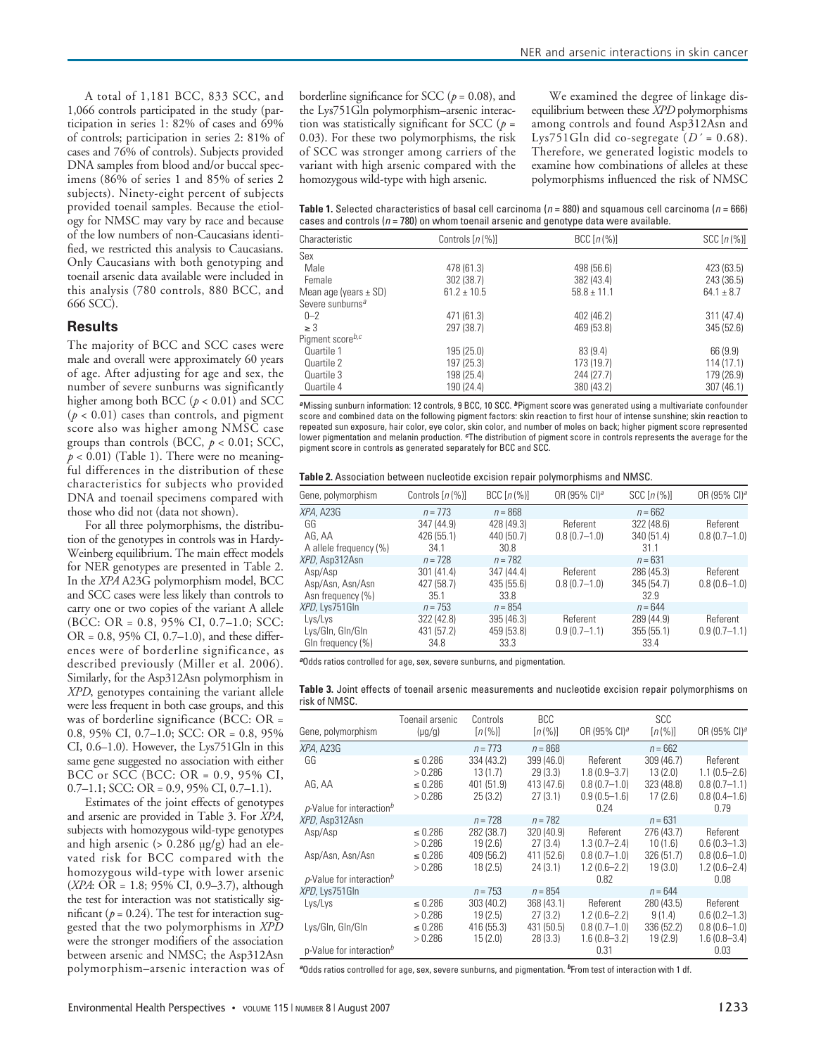A total of 1,181 BCC, 833 SCC, and 1,066 controls participated in the study (participation in series 1: 82% of cases and 69% of controls; participation in series 2: 81% of cases and 76% of controls). Subjects provided DNA samples from blood and/or buccal specimens (86% of series 1 and 85% of series 2 subjects). Ninety-eight percent of subjects provided toenail samples. Because the etiology for NMSC may vary by race and because of the low numbers of non-Caucasians identified, we restricted this analysis to Caucasians. Only Caucasians with both genotyping and toenail arsenic data available were included in this analysis (780 controls, 880 BCC, and 666 SCC).

#### **Results**

The majority of BCC and SCC cases were male and overall were approximately 60 years of age. After adjusting for age and sex, the number of severe sunburns was significantly higher among both BCC ( $p < 0.01$ ) and SCC  $(p < 0.01)$  cases than controls, and pigment score also was higher among NMSC case groups than controls (BCC, *p* < 0.01; SCC,  $p < 0.01$ ) (Table 1). There were no meaningful differences in the distribution of these characteristics for subjects who provided DNA and toenail specimens compared with those who did not (data not shown).

For all three polymorphisms, the distribution of the genotypes in controls was in Hardy-Weinberg equilibrium. The main effect models for NER genotypes are presented in Table 2. In the *XPA* A23G polymorphism model, BCC and SCC cases were less likely than controls to carry one or two copies of the variant A allele (BCC: OR = 0.8, 95% CI, 0.7–1.0; SCC:  $OR = 0.8, 95\% \text{ CI}, 0.7–1.0$ , and these differences were of borderline significance, as described previously (Miller et al. 2006). Similarly, for the Asp312Asn polymorphism in *XPD*, genotypes containing the variant allele were less frequent in both case groups, and this was of borderline significance (BCC: OR = 0.8, 95% CI, 0.7–1.0; SCC: OR = 0.8, 95% CI, 0.6–1.0). However, the Lys751Gln in this same gene suggested no association with either BCC or SCC (BCC: OR = 0.9, 95% CI,  $0.7-1.1$ ; SCC: OR = 0.9, 95% CI, 0.7-1.1).

Estimates of the joint effects of genotypes and arsenic are provided in Table 3. For *XPA*, subjects with homozygous wild-type genotypes and high arsenic  $(> 0.286 \text{ µg/g})$  had an elevated risk for BCC compared with the homozygous wild-type with lower arsenic (*XPA*: OR = 1.8; 95% CI, 0.9–3.7), although the test for interaction was not statistically significant ( $p = 0.24$ ). The test for interaction suggested that the two polymorphisms in *XPD* were the stronger modifiers of the association between arsenic and NMSC; the Asp312Asn polymorphism–arsenic interaction was of borderline significance for SCC (*p* = 0.08), and the Lys751Gln polymorphism–arsenic interaction was statistically significant for SCC  $(p =$ 0.03). For these two polymorphisms, the risk of SCC was stronger among carriers of the variant with high arsenic compared with the homozygous wild-type with high arsenic.

We examined the degree of linkage disequilibrium between these *XPD* polymorphisms among controls and found Asp312Asn and Lys751Gln did co-segregate (*D´* = 0.68). Therefore, we generated logistic models to examine how combinations of alleles at these polymorphisms influenced the risk of NMSC

**Table 1.** Selected characteristics of basal cell carcinoma ( $n = 880$ ) and squamous cell carcinoma ( $n = 666$ ) cases and controls ( $n = 780$ ) on whom toenail arsenic and genotype data were available.

| Characteristic               | Controls $[n(\%)]$ | BCC $[n(\%)]$   | $SCC[n(\%)]$ |
|------------------------------|--------------------|-----------------|--------------|
| Sex                          |                    |                 |              |
| Male                         | 478 (61.3)         | 498 (56.6)      | 423 (63.5)   |
| Female                       | 302 (38.7)         | 382 (43.4)      | 243 (36.5)   |
| Mean age (years $\pm$ SD)    | $61.2 \pm 10.5$    | $58.8 \pm 11.1$ | $64.1 + 8.7$ |
| Severe sunburns <sup>a</sup> |                    |                 |              |
| $0 - 2$                      | 471 (61.3)         | 402 (46.2)      | 311(47.4)    |
| $\geq$ 3                     | 297 (38.7)         | 469 (53.8)      | 345(52.6)    |
| Pigment score $b,c$          |                    |                 |              |
| Quartile 1                   | 195 (25.0)         | 83(9.4)         | 66(9.9)      |
| Quartile 2                   | 197 (25.3)         | 173 (19.7)      | 114(17.1)    |
| Quartile 3                   | 198 (25.4)         | 244 (27.7)      | 179 (26.9)   |
| Quartile 4                   | 190 (24.4)         | 380 (43.2)      | 307(46.1)    |

**<sup>a</sup>**Missing sunburn information: 12 controls, 9 BCC, 10 SCC. **<sup>b</sup>**Pigment score was generated using a multivariate confounder score and combined data on the following pigment factors: skin reaction to first hour of intense sunshine; skin reaction to repeated sun exposure, hair color, eye color, skin color, and number of moles on back; higher pigment score represented lower pigmentation and melanin production. <sup>e</sup>The distribution of pigment score in controls represents the average for the pigment score in controls as generated separately for BCC and SCC.

| Table 2. Association between nucleotide excision repair polymorphisms and NMSC. |  |  |  |
|---------------------------------------------------------------------------------|--|--|--|
|                                                                                 |  |  |  |

| Gene, polymorphism     | Controls $[n(\%)]$ | $BCC[n(\%)]$ | OR (95% CI) <sup>a</sup> | $SCC[n(\%)]$ | OR (95% CI) <sup>a</sup> |
|------------------------|--------------------|--------------|--------------------------|--------------|--------------------------|
| XPA, A23G              | $n = 773$          | $n = 868$    |                          | $n = 662$    |                          |
| GG                     | 347 (44.9)         | 428 (49.3)   | Referent                 | 322 (48.6)   | Referent                 |
| AG, AA                 | 426 (55.1)         | 440 (50.7)   | $0.8(0.7-1.0)$           | 340 (51.4)   | $0.8(0.7-1.0)$           |
| A allele frequency (%) | 34.1               | 30.8         |                          | 31.1         |                          |
| XPD, Asp312Asn         | $n = 728$          | $n = 782$    |                          | $n = 631$    |                          |
| Asp/Asp                | 301(41.4)          | 347 (44.4)   | Referent                 | 286 (45.3)   | Referent                 |
| Asp/Asn, Asn/Asn       | 427 (58.7)         | 435 (55.6)   | $0.8(0.7-1.0)$           | 345 (54.7)   | $0.8(0.6 - 1.0)$         |
| Asn frequency (%)      | 35.1               | 33.8         |                          | 32.9         |                          |
| XPD, Lys751GIn         | $n = 753$          | $n = 854$    |                          | $n = 644$    |                          |
| Lys/Lys                | 322 (42.8)         | 395 (46.3)   | Referent                 | 289 (44.9)   | Referent                 |
| Lys/Gln, Gln/Gln       | 431 (57.2)         | 459 (53.8)   | $0.9(0.7-1.1)$           | 355(55.1)    | $0.9(0.7-1.1)$           |
| GIn frequency (%)      | 34.8               | 33.3         |                          | 33.4         |                          |

**<sup>a</sup>**Odds ratios controlled for age, sex, severe sunburns, and pigmentation.

|               |  | Table 3. Joint effects of toenail arsenic measurements and nucleotide excision repair polymorphisms on |  |  |  |
|---------------|--|--------------------------------------------------------------------------------------------------------|--|--|--|
| risk of NMSC. |  |                                                                                                        |  |  |  |

| Gene, polymorphism                      | Toenail arsenic<br>$(\mu g/g)$ | Controls<br>$[n(\%)]$ | <b>BCC</b><br>$[n(\%)]$ | OR (95% CI) <sup>a</sup>           | <b>SCC</b><br>$[n(\%)]$ | OR (95% CI) <sup>a</sup>             |
|-----------------------------------------|--------------------------------|-----------------------|-------------------------|------------------------------------|-------------------------|--------------------------------------|
| XPA, A23G                               |                                | $n = 773$             | $n = 868$               |                                    | $n = 662$               |                                      |
| GG                                      | $\leq 0.286$<br>>0.286         | 334 (43.2)<br>13(1.7) | 399 (46.0)<br>29(3.3)   | Referent<br>$1.8(0.9 - 3.7)$       | 309(46.7)<br>13(2.0)    | Referent<br>$1.1(0.5 - 2.6)$         |
| AG, AA                                  | ≤ 0.286<br>> 0.286             | 401 (51.9)<br>25(3.2) | 413 (47.6)<br>27(3.1)   | $0.8(0.7-1.0)$<br>$0.9(0.5 - 1.6)$ | 323 (48.8)<br>17(2.6)   | $0.8(0.7-1.1)$<br>$0.8(0.4-1.6)$     |
| $p$ -Value for interaction <sup>b</sup> |                                |                       |                         | 0.24                               |                         | 0.79                                 |
| XPD, Asp312Asn                          |                                | $n = 728$             | $n = 782$               |                                    | $n = 631$               |                                      |
| Asp/Asp                                 | ≤ 0.286<br>>0.286              | 282 (38.7)<br>19(2.6) | 320 (40.9)<br>27(3.4)   | Referent<br>$1.3(0.7 - 2.4)$       | 276 (43.7)<br>10(1.6)   | Referent<br>$0.6(0.3-1.3)$           |
| Asp/Asn, Asn/Asn                        | $\leq 0.286$<br>>0.286         | 409 (56.2)<br>18(2.5) | 411 (52.6)<br>24(3.1)   | $0.8(0.7-1.0)$<br>$1.2(0.6 - 2.2)$ | 326 (51.7)<br>19(3.0)   | $0.8(0.6 - 1.0)$<br>$1.2(0.6 - 2.4)$ |
| $p$ -Value for interaction <sup>b</sup> |                                |                       |                         | 0.82                               |                         | 0.08                                 |
| XPD, Lys751GIn                          |                                | $n = 753$             | $n = 854$               |                                    | $n = 644$               |                                      |
| Lys/Lys                                 | $\leq 0.286$<br>>0.286         | 303 (40.2)<br>19(2.5) | 368 (43.1)<br>27(3.2)   | Referent<br>$1.2(0.6 - 2.2)$       | 280 (43.5)<br>9(1.4)    | Referent<br>$0.6(0.2 - 1.3)$         |
| Lys/Gln, Gln/Gln                        | $\leq 0.286$<br>>0.286         | 416 (55.3)<br>15(2.0) | 431 (50.5)<br>28(3.3)   | $0.8(0.7-1.0)$<br>$1.6(0.8 - 3.2)$ | 336 (52.2)<br>19(2.9)   | $0.8(0.6 - 1.0)$<br>$1.6(0.8 - 3.4)$ |
| p-Value for interaction <sup>b</sup>    |                                |                       |                         | 0.31                               |                         | 0.03                                 |

**a**Odds ratios controlled for age, sex, severe sunburns, and pigmentation. **<sup>b</sup>**From test of interaction with 1 df.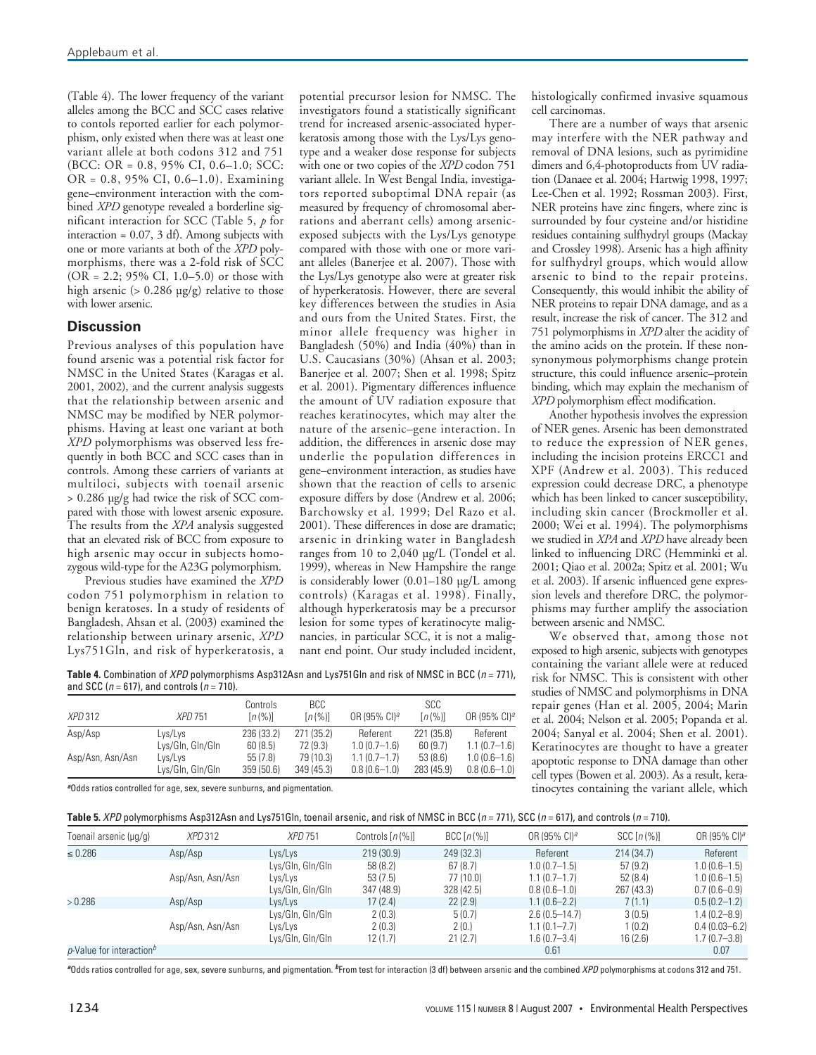(Table 4). The lower frequency of the variant alleles among the BCC and SCC cases relative to contols reported earlier for each polymorphism, only existed when there was at least one variant allele at both codons 312 and 751 (BCC: OR = 0.8, 95% CI, 0.6–1.0; SCC: OR = 0.8, 95% CI, 0.6–1.0). Examining gene–environment interaction with the combined *XPD* genotype revealed a borderline significant interaction for SCC (Table 5, *p* for interaction = 0.07, 3 df). Among subjects with one or more variants at both of the *XPD* polymorphisms, there was a 2-fold risk of SCC (OR = 2.2; 95% CI, 1.0–5.0) or those with high arsenic (> 0.286 µg/g) relative to those with lower arsenic.

## **Discussion**

Previous analyses of this population have found arsenic was a potential risk factor for NMSC in the United States (Karagas et al. 2001, 2002), and the current analysis suggests that the relationship between arsenic and NMSC may be modified by NER polymorphisms. Having at least one variant at both *XPD* polymorphisms was observed less frequently in both BCC and SCC cases than in controls. Among these carriers of variants at multiloci, subjects with toenail arsenic > 0.286 µg/g had twice the risk of SCC compared with those with lowest arsenic exposure. The results from the *XPA* analysis suggested that an elevated risk of BCC from exposure to high arsenic may occur in subjects homozygous wild-type for the A23G polymorphism.

Previous studies have examined the *XPD* codon 751 polymorphism in relation to benign keratoses. In a study of residents of Bangladesh, Ahsan et al. (2003) examined the relationship between urinary arsenic, *XPD* Lys751Gln, and risk of hyperkeratosis, a

potential precursor lesion for NMSC. The investigators found a statistically significant trend for increased arsenic-associated hyperkeratosis among those with the Lys/Lys genotype and a weaker dose response for subjects with one or two copies of the *XPD* codon 751 variant allele. In West Bengal India, investigators reported suboptimal DNA repair (as measured by frequency of chromosomal aberrations and aberrant cells) among arsenicexposed subjects with the Lys/Lys genotype compared with those with one or more variant alleles (Banerjee et al. 2007). Those with the Lys/Lys genotype also were at greater risk of hyperkeratosis. However, there are several key differences between the studies in Asia and ours from the United States. First, the minor allele frequency was higher in Bangladesh (50%) and India (40%) than in U.S. Caucasians (30%) (Ahsan et al. 2003; Banerjee et al. 2007; Shen et al. 1998; Spitz et al. 2001). Pigmentary differences influence the amount of UV radiation exposure that reaches keratinocytes, which may alter the nature of the arsenic–gene interaction. In addition, the differences in arsenic dose may underlie the population differences in gene–environment interaction, as studies have shown that the reaction of cells to arsenic exposure differs by dose (Andrew et al. 2006; Barchowsky et al. 1999; Del Razo et al. 2001). These differences in dose are dramatic; arsenic in drinking water in Bangladesh ranges from 10 to 2,040 µg/L (Tondel et al. 1999), whereas in New Hampshire the range is considerably lower (0.01–180 µg/L among controls) (Karagas et al. 1998). Finally, although hyperkeratosis may be a precursor lesion for some types of keratinocyte malignancies, in particular SCC, it is not a malignant end point. Our study included incident,

histologically confirmed invasive squamous cell carcinomas.

There are a number of ways that arsenic may interfere with the NER pathway and removal of DNA lesions, such as pyrimidine dimers and 6,4-photoproducts from UV radiation (Danaee et al. 2004; Hartwig 1998, 1997; Lee-Chen et al. 1992; Rossman 2003). First, NER proteins have zinc fingers, where zinc is surrounded by four cysteine and/or histidine residues containing sulfhydryl groups (Mackay and Crossley 1998). Arsenic has a high affinity for sulfhydryl groups, which would allow arsenic to bind to the repair proteins. Consequently, this would inhibit the ability of NER proteins to repair DNA damage, and as a result, increase the risk of cancer. The 312 and 751 polymorphisms in *XPD* alter the acidity of the amino acids on the protein. If these nonsynonymous polymorphisms change protein structure, this could influence arsenic–protein binding, which may explain the mechanism of *XPD* polymorphism effect modification.

Another hypothesis involves the expression of NER genes. Arsenic has been demonstrated to reduce the expression of NER genes, including the incision proteins ERCC1 and XPF (Andrew et al. 2003). This reduced expression could decrease DRC, a phenotype which has been linked to cancer susceptibility, including skin cancer (Brockmoller et al. 2000; Wei et al. 1994). The polymorphisms we studied in *XPA* and *XPD* have already been linked to influencing DRC (Hemminki et al. 2001; Qiao et al. 2002a; Spitz et al. 2001; Wu et al. 2003). If arsenic influenced gene expression levels and therefore DRC, the polymorphisms may further amplify the association between arsenic and NMSC.

We observed that, among those not exposed to high arsenic, subjects with genotypes containing the variant allele were at reduced risk for NMSC. This is consistent with other studies of NMSC and polymorphisms in DNA repair genes (Han et al. 2005, 2004; Marin et al. 2004; Nelson et al. 2005; Popanda et al. 2004; Sanyal et al. 2004; Shen et al. 2001). Keratinocytes are thought to have a greater apoptotic response to DNA damage than other cell types (Bowen et al. 2003). As a result, keratinocytes containing the variant allele, which

**Table 4.** Combination of *XPD* polymorphisms Asp312Asn and Lys751Gln and risk of NMSC in BCC (n = 771), and SCC ( $n = 617$ ), and controls ( $n = 710$ ).

| <i>XPD</i> 312   | <i>XPD</i> 751   | Controls<br>$[n(\%)]$ | BCC<br>[n(%)] | OR (95% CI) <sup>a</sup> | <b>SCC</b><br>$[n(\%)]$ | OR (95% CI) <sup>a</sup> |
|------------------|------------------|-----------------------|---------------|--------------------------|-------------------------|--------------------------|
| Asp/Asp          | Lys/Lys          | 236 (33.2)            | 271 (35.2)    | Referent                 | 221 (35.8)              | Referent                 |
|                  | Lys/Gln, Gln/Gln | 60(8.5)               | 72 (9.3)      | $1.0(0.7-1.6)$           | 60(9.7)                 | $1.1(0.7-1.6)$           |
| Asp/Asn, Asn/Asn | Lys/Lys          | 55(7.8)               | 79 (10.3)     | $1.1(0.7-1.7)$           | 53(8.6)                 | $1.0(0.6-1.6)$           |
|                  | Lys/Gln, Gln/Gln | 359 (50.6)            | 349 (45.3)    | $0.8(0.6-1.0)$           | 283 (45.9)              | $0.8(0.6-1.0)$           |

**<sup>a</sup>**Odds ratios controlled for age, sex, severe sunburns, and pigmentation.

|  | <b>Table 5.</b> <i>XPD</i> polymorphisms Asp312Asn and Lys751Gln, toenail arsenic, and risk of NMSC in BCC (n = 771), SCC (n = 617), and controls (n = 710). |
|--|--------------------------------------------------------------------------------------------------------------------------------------------------------------|
|--|--------------------------------------------------------------------------------------------------------------------------------------------------------------|

| Toenail arsenic (µq/q)                  | <i>XPD</i> 312   | <b>XPD 751</b>   | Controls $[n \, (%)]$ | BCC $[n(\%)]$ | OR (95% CI) <sup>a</sup> | $SCC[n(\%)]$ | OR (95% CI) <sup>a</sup> |
|-----------------------------------------|------------------|------------------|-----------------------|---------------|--------------------------|--------------|--------------------------|
| $\leq 0.286$                            | Asp/Asp          | Lys/Lys          | 219(30.9)             | 249 (32.3)    | Referent                 | 214(34.7)    | Referent                 |
|                                         |                  | Lys/Gln, Gln/Gln | 58 (8.2)              | 67 (8.7)      | $1.0(0.7-1.5)$           | 57 (9.2)     | $1.0(0.6 - 1.5)$         |
|                                         | Asp/Asn, Asn/Asn | Lys/Lys          | 53(7.5)               | 77 (10.0)     | $1.1(0.7-1.7)$           | 52(8.4)      | $1.0(0.6-1.5)$           |
|                                         |                  | Lys/Gln, Gln/Gln | 347 (48.9)            | 328 (42.5)    | $0.8(0.6 - 1.0)$         | 267 (43.3)   | $0.7(0.6 - 0.9)$         |
| >0.286                                  | Asp/Asp          | Lys/Lys          | 17(2.4)               | 22(2.9)       | $1.1(0.6 - 2.2)$         | 7(1.1)       | $0.5(0.2 - 1.2)$         |
|                                         |                  | Lys/Gln, Gln/Gln | 2(0.3)                | 5(0.7)        | $2.6(0.5 - 14.7)$        | 3(0.5)       | $1.4(0.2 - 8.9)$         |
|                                         | Asp/Asn, Asn/Asn | Lys/Lys          | 2(0.3)                | 2(0.)         | $1.1(0.1 - 7.7)$         | 1(0.2)       | $0.4(0.03 - 6.2)$        |
|                                         |                  | Lys/Gln, Gln/Gln | 12(1.7)               | 21(2.7)       | $1.6(0.7 - 3.4)$         | 16(2.6)      | $1.7(0.7 - 3.8)$         |
| $p$ -Value for interaction <sup>b</sup> |                  |                  |                       |               | 0.61                     |              | 0.07                     |

**<sup>a</sup>**Odds ratios controlled for age, sex, severe sunburns, and pigmentation. **<sup>b</sup>**From test for interaction (3 df) between arsenic and the combined XPD polymorphisms at codons 312 and 751.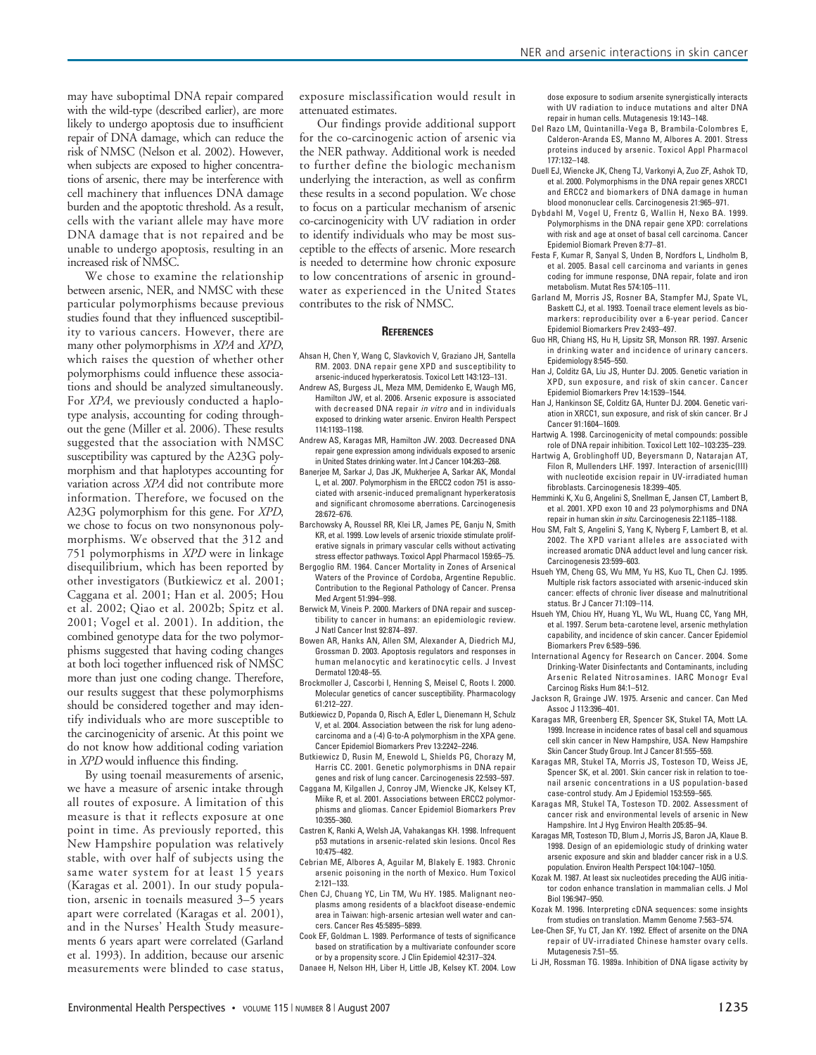may have suboptimal DNA repair compared with the wild-type (described earlier), are more likely to undergo apoptosis due to insufficient repair of DNA damage, which can reduce the risk of NMSC (Nelson et al. 2002). However, when subjects are exposed to higher concentrations of arsenic, there may be interference with cell machinery that influences DNA damage burden and the apoptotic threshold. As a result, cells with the variant allele may have more DNA damage that is not repaired and be unable to undergo apoptosis, resulting in an increased risk of NMSC.

We chose to examine the relationship between arsenic, NER, and NMSC with these particular polymorphisms because previous studies found that they influenced susceptibility to various cancers. However, there are many other polymorphisms in *XPA* and *XPD*, which raises the question of whether other polymorphisms could influence these associations and should be analyzed simultaneously. For *XPA*, we previously conducted a haplotype analysis, accounting for coding throughout the gene (Miller et al. 2006). These results suggested that the association with NMSC susceptibility was captured by the A23G polymorphism and that haplotypes accounting for variation across *XPA* did not contribute more information. Therefore, we focused on the A23G polymorphism for this gene. For *XPD*, we chose to focus on two nonsynonous polymorphisms. We observed that the 312 and 751 polymorphisms in *XPD* were in linkage disequilibrium, which has been reported by other investigators (Butkiewicz et al. 2001; Caggana et al. 2001; Han et al. 2005; Hou et al. 2002; Qiao et al. 2002b; Spitz et al. 2001; Vogel et al. 2001). In addition, the combined genotype data for the two polymorphisms suggested that having coding changes at both loci together influenced risk of NMSC more than just one coding change. Therefore, our results suggest that these polymorphisms should be considered together and may identify individuals who are more susceptible to the carcinogenicity of arsenic. At this point we do not know how additional coding variation in *XPD* would influence this finding.

By using toenail measurements of arsenic, we have a measure of arsenic intake through all routes of exposure. A limitation of this measure is that it reflects exposure at one point in time. As previously reported, this New Hampshire population was relatively stable, with over half of subjects using the same water system for at least 15 years (Karagas et al. 2001). In our study population, arsenic in toenails measured 3–5 years apart were correlated (Karagas et al. 2001), and in the Nurses' Health Study measurements 6 years apart were correlated (Garland et al. 1993). In addition, because our arsenic measurements were blinded to case status,

exposure misclassification would result in attenuated estimates.

Our findings provide additional support for the co-carcinogenic action of arsenic via the NER pathway. Additional work is needed to further define the biologic mechanism underlying the interaction, as well as confirm these results in a second population. We chose to focus on a particular mechanism of arsenic co-carcinogenicity with UV radiation in order to identify individuals who may be most susceptible to the effects of arsenic. More research is needed to determine how chronic exposure to low concentrations of arsenic in groundwater as experienced in the United States contributes to the risk of NMSC.

#### **REFERENCES**

- Ahsan H, Chen Y, Wang C, Slavkovich V, Graziano JH, Santella RM. 2003. DNA repair gene XPD and susceptibility to arsenic-induced hyperkeratosis. Toxicol Lett 143:123–131.
- Andrew AS, Burgess JL, Meza MM, Demidenko E, Waugh MG, Hamilton JW, et al. 2006. Arsenic exposure is associated with decreased DNA repair *in vitro* and in individuals exposed to drinking water arsenic. Environ Health Perspect 114:1193–1198.
- Andrew AS, Karagas MR, Hamilton JW. 2003. Decreased DNA repair gene expression among individuals exposed to arsenic in United States drinking water. Int J Cancer 104:263–268.
- Banerjee M, Sarkar J, Das JK, Mukherjee A, Sarkar AK, Mondal L, et al. 2007. Polymorphism in the ERCC2 codon 751 is associated with arsenic-induced premalignant hyperkeratosis and significant chromosome aberrations. Carcinogenesis 28:672–676.
- Barchowsky A, Roussel RR, Klei LR, James PE, Ganju N, Smith KR, et al. 1999. Low levels of arsenic trioxide stimulate proliferative signals in primary vascular cells without activating stress effector pathways. Toxicol Appl Pharmacol 159:65–75.
- Bergoglio RM. 1964. Cancer Mortality in Zones of Arsenical Waters of the Province of Cordoba, Argentine Republic. Contribution to the Regional Pathology of Cancer. Prensa Med Argent 51:994–998.
- Berwick M, Vineis P. 2000. Markers of DNA repair and susceptibility to cancer in humans: an epidemiologic review. J Natl Cancer Inst 92:874–897.
- Bowen AR, Hanks AN, Allen SM, Alexander A, Diedrich MJ, Grossman D. 2003. Apoptosis regulators and responses in human melanocytic and keratinocytic cells. J Invest Dermatol 120:48–55.
- Brockmoller J, Cascorbi I, Henning S, Meisel C, Roots I. 2000. Molecular genetics of cancer susceptibility. Pharmacology 61:212–227.
- Butkiewicz D, Popanda O, Risch A, Edler L, Dienemann H, Schulz V, et al. 2004. Association between the risk for lung adenocarcinoma and a (-4) G-to-A polymorphism in the XPA gene. Cancer Epidemiol Biomarkers Prev 13:2242–2246.
- Butkiewicz D, Rusin M, Enewold L, Shields PG, Chorazy M, Harris CC. 2001. Genetic polymorphisms in DNA repair genes and risk of lung cancer. Carcinogenesis 22:593–597.
- Caggana M, Kilgallen J, Conroy JM, Wiencke JK, Kelsey KT, Miike R, et al. 2001. Associations between ERCC2 polymorphisms and gliomas. Cancer Epidemiol Biomarkers Prev 10:355–360.
- Castren K, Ranki A, Welsh JA, Vahakangas KH. 1998. Infrequent p53 mutations in arsenic-related skin lesions. Oncol Res 10:475–482.
- Cebrian ME, Albores A, Aguilar M, Blakely E. 1983. Chronic arsenic poisoning in the north of Mexico. Hum Toxicol 2:121–133.
- Chen CJ, Chuang YC, Lin TM, Wu HY. 1985. Malignant neoplasms among residents of a blackfoot disease-endemic area in Taiwan: high-arsenic artesian well water and cancers. Cancer Res 45:5895–5899.
- Cook EF, Goldman L. 1989. Performance of tests of significance based on stratification by a multivariate confounder score or by a propensity score. J Clin Epidemiol 42:317–324.
- Danaee H, Nelson HH, Liber H, Little JB, Kelsey KT. 2004. Low

dose exposure to sodium arsenite synergistically interacts with UV radiation to induce mutations and alter DNA repair in human cells. Mutagenesis 19:143–148.

- Del Razo LM, Quintanilla-Vega B, Brambila-Colombres E, Calderon-Aranda ES, Manno M, Albores A. 2001. Stress proteins induced by arsenic. Toxicol Appl Pharmacol 177:132–148.
- Duell EJ, Wiencke JK, Cheng TJ, Varkonyi A, Zuo ZF, Ashok TD, et al. 2000. Polymorphisms in the DNA repair genes XRCC1 and ERCC2 and biomarkers of DNA damage in human blood mononuclear cells. Carcinogenesis 21:965–971.
- Dybdahl M, Vogel U, Frentz G, Wallin H, Nexo BA. 1999. Polymorphisms in the DNA repair gene XPD: correlations with risk and age at onset of basal cell carcinoma. Cancer Epidemiol Biomark Preven 8:77–81.
- Festa F, Kumar R, Sanyal S, Unden B, Nordfors L, Lindholm B, et al. 2005. Basal cell carcinoma and variants in genes coding for immune response, DNA repair, folate and iron metabolism. Mutat Res 574:105–111.
- Garland M, Morris JS, Rosner BA, Stampfer MJ, Spate VL, Baskett CJ, et al. 1993. Toenail trace element levels as biomarkers: reproducibility over a 6-year period. Cancer Epidemiol Biomarkers Prev 2:493–497.
- Guo HR, Chiang HS, Hu H, Lipsitz SR, Monson RR. 1997. Arsenic in drinking water and incidence of urinary cancers. Epidemiology 8:545–550.
- Han J, Colditz GA, Liu JS, Hunter DJ. 2005. Genetic variation in XPD, sun exposure, and risk of skin cancer. Cancer Epidemiol Biomarkers Prev 14:1539–1544.
- Han J, Hankinson SE, Colditz GA, Hunter DJ. 2004. Genetic variation in XRCC1, sun exposure, and risk of skin cancer. Br J Cancer 91:1604–1609.
- Hartwig A. 1998. Carcinogenicity of metal compounds: possible role of DNA repair inhibition. Toxicol Lett 102–103:235–239.
- Hartwig A, Groblinghoff UD, Beyersmann D, Natarajan AT, Filon R, Mullenders LHF. 1997. Interaction of arsenic(III) with nucleotide excision repair in UV-irradiated human fibroblasts. Carcinogenesis 18:399–405.
- Hemminki K, Xu G, Angelini S, Snellman E, Jansen CT, Lambert B, et al. 2001. XPD exon 10 and 23 polymorphisms and DNA repair in human skin in situ. Carcinogenesis 22:1185–1188.
- Hou SM, Falt S, Angelini S, Yang K, Nyberg F, Lambert B, et al. 2002. The XPD variant alleles are associated with increased aromatic DNA adduct level and lung cancer risk. Carcinogenesis 23:599–603.
- Hsueh YM, Cheng GS, Wu MM, Yu HS, Kuo TL, Chen CJ. 1995. Multiple risk factors associated with arsenic-induced skin cancer: effects of chronic liver disease and malnutritional status. Br J Cancer 71:109–114.
- Hsueh YM, Chiou HY, Huang YL, Wu WL, Huang CC, Yang MH, et al. 1997. Serum beta-carotene level, arsenic methylation capability, and incidence of skin cancer. Cancer Epidemiol Biomarkers Prev 6:589–596.
- International Agency for Research on Cancer. 2004. Some Drinking-Water Disinfectants and Contaminants, including Arsenic Related Nitrosamines. IARC Monogr Eval Carcinog Risks Hum 84:1–512.
- Jackson R, Grainge JW. 1975. Arsenic and cancer. Can Med Assoc J 113:396–401.
- Karagas MR, Greenberg ER, Spencer SK, Stukel TA, Mott LA. 1999. Increase in incidence rates of basal cell and squamous cell skin cancer in New Hampshire, USA. New Hampshire Skin Cancer Study Group. Int J Cancer 81:555–559.
- Karagas MR, Stukel TA, Morris JS, Tosteson TD, Weiss JE, Spencer SK, et al. 2001. Skin cancer risk in relation to toenail arsenic concentrations in a US population-based case-control study. Am J Epidemiol 153:559–565.
- Karagas MR, Stukel TA, Tosteson TD. 2002. Assessment of cancer risk and environmental levels of arsenic in New Hampshire. Int J Hyg Environ Health 205:85–94.
- Karagas MR, Tosteson TD, Blum J, Morris JS, Baron JA, Klaue B. 1998. Design of an epidemiologic study of drinking water arsenic exposure and skin and bladder cancer risk in a U.S. population. Environ Health Perspect 104:1047–1050.
- Kozak M. 1987. At least six nucleotides preceding the AUG initiator codon enhance translation in mammalian cells. J Mol Biol 196:947–950.
- Kozak M. 1996. Interpreting cDNA sequences: some insights from studies on translation. Mamm Genome 7:563–574.
- Lee-Chen SF, Yu CT, Jan KY. 1992. Effect of arsenite on the DNA repair of UV-irradiated Chinese hamster ovary cells. Mutagenesis 7:51–55.
- Li JH, Rossman TG. 1989a. Inhibition of DNA ligase activity by